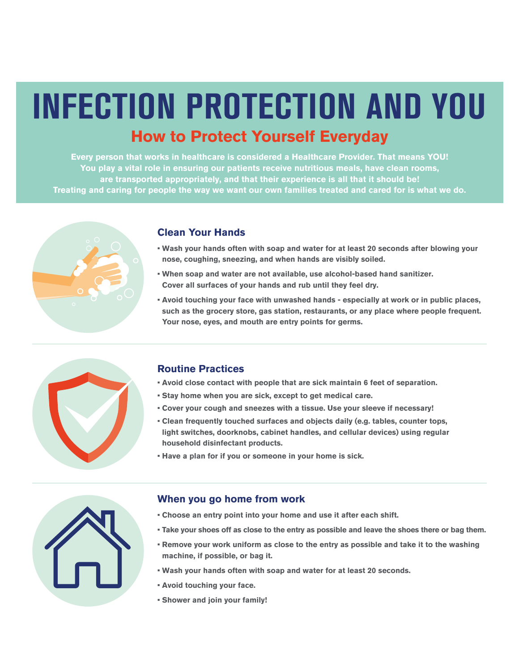## **How to Protect Yourself Everyday**  INFECTION PROTECTION AND YOU

**Every person that works in healthcare is considered a Healthcare Provider. That means YOU! You play a vital role in ensuring our patients receive nutritious meals, have clean rooms, are transported appropriately, and that their experience is all that it should be! Treating and caring for people the way we want our own families treated and cared for is what we do.** 



#### **Clean Your Hands**

- **• Wash your hands often with soap and water for at least 20 seconds after blowing your nose, coughing, sneezing, and when hands are visibly soiled.**
- **• When soap and water are not available, use alcohol-based hand sanitizer. Cover all surfaces of your hands and rub until they feel dry.**
- **• Avoid touching your face with unwashed hands especially at work or in public places, such as the grocery store, gas station, restaurants, or any place where people frequent. Your nose, eyes, and mouth are entry points for germs.**



#### **Routine Practices**

- **• Avoid close contact with people that are sick maintain 6 feet of separation.**
- **• Stay home when you are sick, except to get medical care.**
- **• Cover your cough and sneezes with a tissue. Use your sleeve if necessary!**
- **• Clean frequently touched surfaces and objects daily (e.g. tables, counter tops, light switches, doorknobs, cabinet handles, and cellular devices) using regular household disinfectant products.**
- **• Have a plan for if you or someone in your home is sick.**



#### **When you go home from work**

- **• Choose an entry point into your home and use it after each shift.**
- **• Take your shoes off as close to the entry as possible and leave the shoes there or bag them.**
- **• Remove your work uniform as close to the entry as possible and take it to the washing machine, if possible, or bag it.**
- **• Wash your hands often with soap and water for at least 20 seconds.**
- **• Avoid touching your face.**
- **• Shower and join your family!**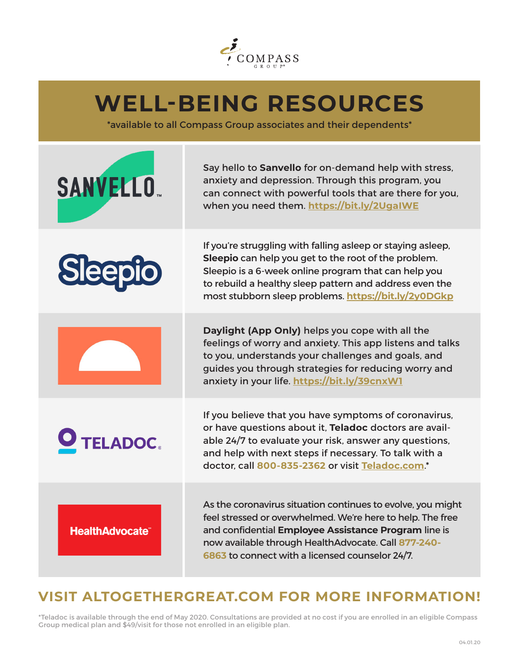

## **WELL-BEING RESOURCES**

\*available to all Compass Group associates and their dependents\*

| <b>SANVELLO</b>        | Say hello to Sanvello for on-demand help with stress,<br>anxiety and depression. Through this program, you<br>can connect with powerful tools that are there for you,<br>when you need them. https://bit.ly/2UgaIWE                                                                            |
|------------------------|------------------------------------------------------------------------------------------------------------------------------------------------------------------------------------------------------------------------------------------------------------------------------------------------|
| Sleepio                | If you're struggling with falling asleep or staying asleep,<br>Sleepio can help you get to the root of the problem.<br>Sleepio is a 6-week online program that can help you<br>to rebuild a healthy sleep pattern and address even the<br>most stubborn sleep problems. https://bit.ly/2y0DGkp |
|                        | Daylight (App Only) helps you cope with all the<br>feelings of worry and anxiety. This app listens and talks<br>to you, understands your challenges and goals, and<br>guides you through strategies for reducing worry and<br>anxiety in your life. https://bit.ly/39cnxW1                     |
| O TELADOC.             | If you believe that you have symptoms of coronavirus,<br>or have questions about it, Teladoc doctors are avail-<br>able 24/7 to evaluate your risk, answer any questions,<br>and help with next steps if necessary. To talk with a<br>doctor, call 800-835-2362 or visit Teladoc.com.*         |
| <b>HealthAdvocate®</b> | As the coronavirus situation continues to evolve, you might<br>feel stressed or overwhelmed. We're here to help. The free<br>and confidential Employee Assistance Program line is<br>now available through HealthAdvocate. Call 877-240-<br>6863 to connect with a licensed counselor 24/7.    |

### **VISIT ALTOGETHERGREAT.COM FOR MORE INFORMATION!**

\*Teladoc is available through the end of May 2020. Consultations are provided at no cost if you are enrolled in an eligible Compass Group medical plan and \$49/visit for those not enrolled in an eligible plan.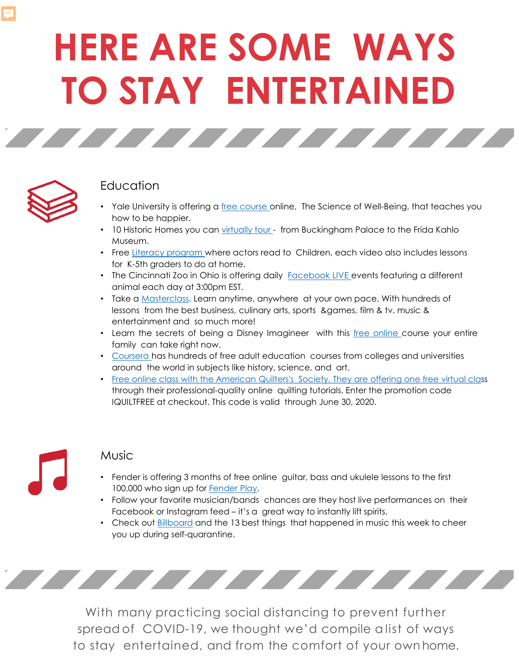# **HERE ARE SOME WAYS TO STAY ENTERTAINED**

TATIFICATION AT THE CONTRACTOR



#### Education

- Yale University is offering a [free course](https://www.businessinsider.com/coursera-yale-science-of-wellbeing-free-course-review-overview?utm_medium=social&utm_campaign=sf-bi-main&utm_source=facebook.com&fbclid=IwAR139sJ7SUPS4X_nhoGyh4zh_BUVB0_7sjYohrGXhQUrzHfoVi5XUYhpn5w) online, The Science of Well-Being, that teaches you how to be happier.
- 10 Historic Homes you can [virtually tour](https://www.housebeautiful.com/design-inspiration/g31677125/historic-homes-you-can-virtually-tour/?fbclid=IwAR3Y79mxzs37QRp-g59kEfd_aRe3DksoHZQHaM0aoaLPXUDGDclGmg8lYmA)  from Buckingham Palace to the Frida Kahlo Museum.
- Free [Literacy program w](https://www.storylineonline.net/?fbclid=IwAR3LqiDwyZ-5tIzzvyGgehtrDOMkWvcaLpQOsAusYTD00XkFFxB24OJqj5o)here actors read to Children, each video also includes lessons for K-5th graders to do at home.
- The Cincinnati Zoo in Ohio is offering daily [Facebook](https://www.facebook.com/cincinnatizoo) LIVE events featuring a different animal each day at 3:00pm EST.
- Take a [Masterclass.](https://www.masterclass.com/?fbclid=IwAR3Y1ytgK_xcnLWmDZIx6BZ5PoiXthngMCqQmq5mDH-MPlNNh_kCukuIM5M) Learn anytime, anywhere at your own pace. With hundreds of lessons from the best business, culinary arts, sports &games, film & tv, music & entertainment and so much more!
- Learn the secrets of being a Disney Imagineer with this free [online](https://disneyparks.disney.go.com/blog/2020/03/enjoy-a-one-of-a-kind-learning-experience-from-disney-imagineers/) course your entire family can take right now.
- [Coursera h](https://www.coursera.org/)as hundreds of free adult education courses from colleges and universities around the world in subjects like history, science, and art.
- [Free online class with the American Quilters's Society. They are offering one free virtual clas](https://www.iquilt.com/)s through their professional-quality online quilting tutorials. Enter the promotion code IQUILTFREE at checkout. This code is valid through June 30, 2020.

#### **Music**

- Fender is offering 3 months of free online guitar, bass and ukulele lessons to the first 100,000 who sign up for [Fender Play](https://try.fender.com/play/playthrough/).
- Follow your favorite musician/bands chances are they host live performances on their Facebook or Instagram feed – it's a great way to instantly lift spirits.
- Check out [Billboard](https://www.billboard.com/articles/news/9339015/cardi-b-coronavirus-remix-best-music-moments-march-20) and the 13 best things that happened in music this week to cheer you up during self-quarantine.



With many practicing social distancing to prevent further spread of COVID-19, we thought we'd compile a list of ways to stay entertained, and from the comfort of your own home.